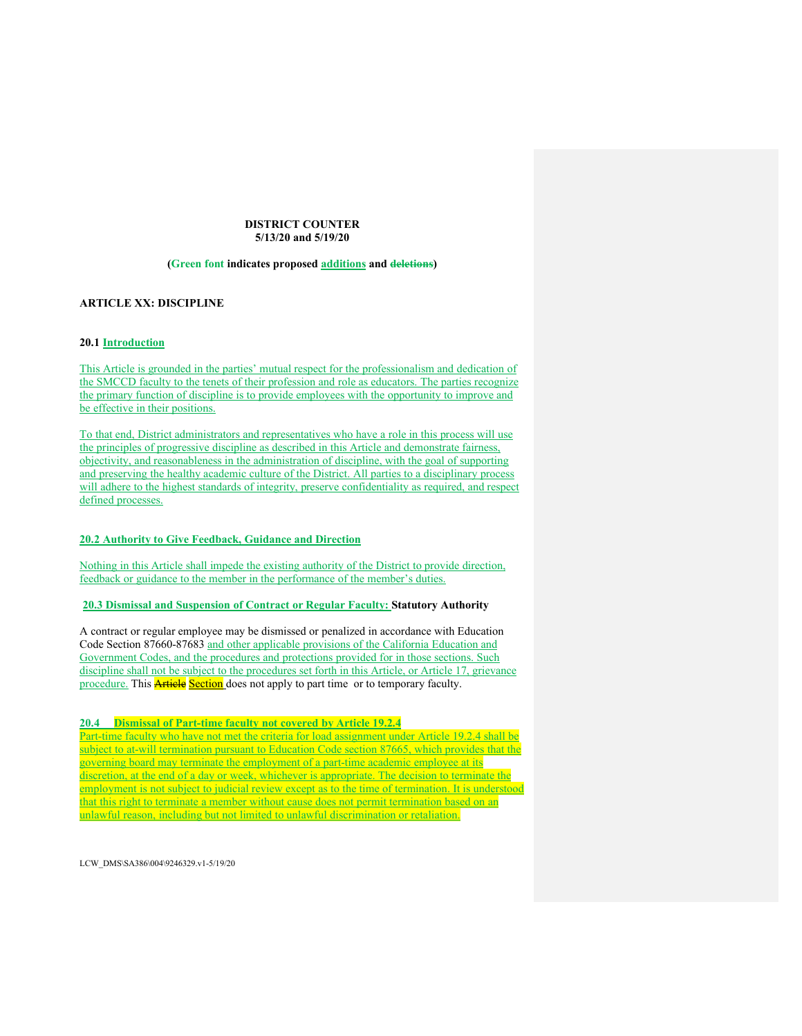## **DISTRICT COUNTER 5/13/20 and 5/19/20**

# **(Green font indicates proposed additions and deletions)**

# **ARTICLE XX: DISCIPLINE**

# **20.1 Introduction**

This Article is grounded in the parties' mutual respect for the professionalism and dedication of the SMCCD faculty to the tenets of their profession and role as educators. The parties recognize the primary function of discipline is to provide employees with the opportunity to improve and be effective in their positions.

To that end, District administrators and representatives who have a role in this process will use the principles of progressive discipline as described in this Article and demonstrate fairness, objectivity, and reasonableness in the administration of discipline, with the goal of supporting and preserving the healthy academic culture of the District. All parties to a disciplinary process will adhere to the highest standards of integrity, preserve confidentiality as required, and respect defined processes.

# **20.2 Authority to Give Feedback, Guidance and Direction**

Nothing in this Article shall impede the existing authority of the District to provide direction, feedback or guidance to the member in the performance of the member's duties.

# **20.3 Dismissal and Suspension of Contract or Regular Faculty: Statutory Authority**

A contract or regular employee may be dismissed or penalized in accordance with Education Code Section 87660-87683 and other applicable provisions of the California Education and Government Codes, and the procedures and protections provided for in those sections. Such discipline shall not be subject to the procedures set forth in this Article, or Article 17, grievance procedure. This **Article Section** does not apply to part time or to temporary faculty.

### **20.4 Dismissal of Part-time faculty not covered by Article 19.2.4**

Part-time faculty who have not met the criteria for load assignment under Article 19.2.4 shall be subject to at-will termination pursuant to Education Code section 87665, which provides that the governing board may terminate the employment of a part-time academic employee at its discretion, at the end of a day or week, whichever is appropriate. The decision to terminate the employment is not subject to judicial review except as to the time of termination. It is understood that this right to terminate a member without cause does not permit termination based on an unlawful reason, including but not limited to unlawful discrimination or retaliation.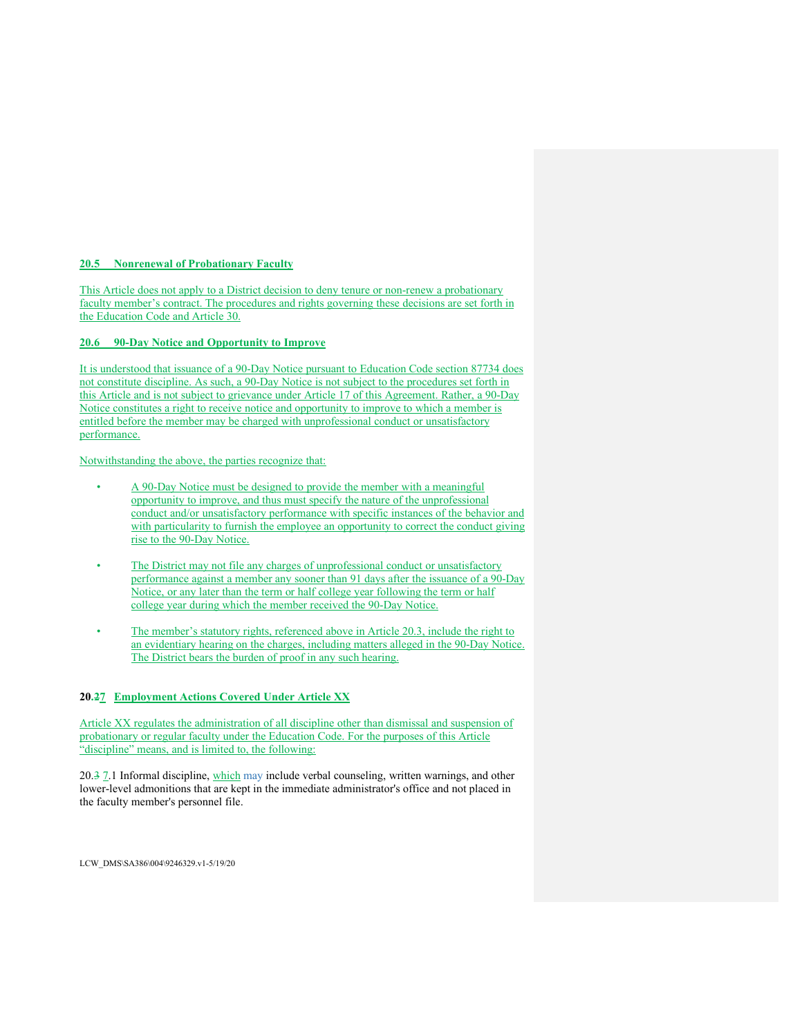## **20.5 Nonrenewal of Probationary Faculty**

This Article does not apply to a District decision to deny tenure or non-renew a probationary faculty member's contract. The procedures and rights governing these decisions are set forth in the Education Code and Article 30.

# **20.6 90-Day Notice and Opportunity to Improve**

It is understood that issuance of a 90-Day Notice pursuant to Education Code section 87734 does not constitute discipline. As such, a 90-Day Notice is not subject to the procedures set forth in this Article and is not subject to grievance under Article 17 of this Agreement. Rather, a 90-Day Notice constitutes a right to receive notice and opportunity to improve to which a member is entitled before the member may be charged with unprofessional conduct or unsatisfactory performance.

Notwithstanding the above, the parties recognize that:

- A 90-Day Notice must be designed to provide the member with a meaningful opportunity to improve, and thus must specify the nature of the unprofessional conduct and/or unsatisfactory performance with specific instances of the behavior and with particularity to furnish the employee an opportunity to correct the conduct giving rise to the 90-Day Notice.
- The District may not file any charges of unprofessional conduct or unsatisfactory performance against a member any sooner than 91 days after the issuance of a 90-Day Notice, or any later than the term or half college year following the term or half college year during which the member received the 90-Day Notice.
- The member's statutory rights, referenced above in Article 20.3, include the right to an evidentiary hearing on the charges, including matters alleged in the 90-Day Notice. The District bears the burden of proof in any such hearing.

## **20.27 Employment Actions Covered Under Article XX**

Article XX regulates the administration of all discipline other than dismissal and suspension of probationary or regular faculty under the Education Code. For the purposes of this Article "discipline" means, and is limited to, the following:

20.3 7.1 Informal discipline, which may include verbal counseling, written warnings, and other lower-level admonitions that are kept in the immediate administrator's office and not placed in the faculty member's personnel file.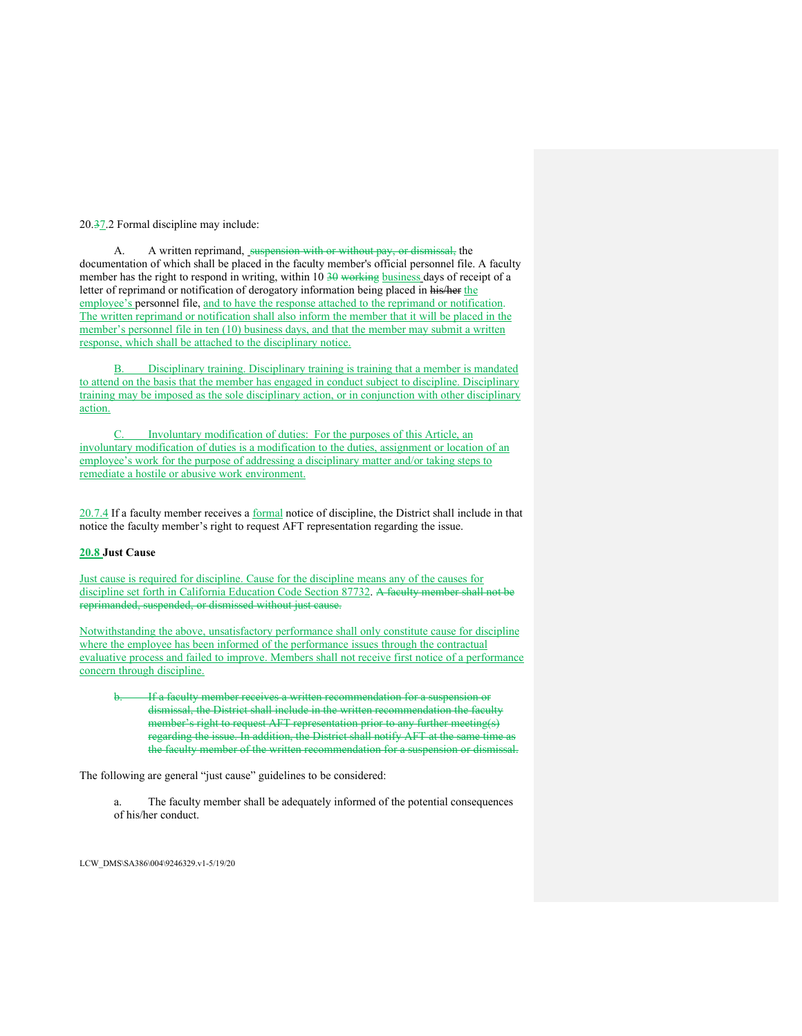20.37.2 Formal discipline may include:

A. A written reprimand, suspension with or without pay, or dismissal, the documentation of which shall be placed in the faculty member's official personnel file. A faculty member has the right to respond in writing, within  $10\,30$  working business days of receipt of a letter of reprimand or notification of derogatory information being placed in his/her the employee's personnel file, and to have the response attached to the reprimand or notification. The written reprimand or notification shall also inform the member that it will be placed in the member's personnel file in ten (10) business days, and that the member may submit a written response, which shall be attached to the disciplinary notice.

Disciplinary training. Disciplinary training is training that a member is mandated to attend on the basis that the member has engaged in conduct subject to discipline. Disciplinary training may be imposed as the sole disciplinary action, or in conjunction with other disciplinary action.

Involuntary modification of duties: For the purposes of this Article, an involuntary modification of duties is a modification to the duties, assignment or location of an employee's work for the purpose of addressing a disciplinary matter and/or taking steps to remediate a hostile or abusive work environment.

20.7.4 If a faculty member receives a formal notice of discipline, the District shall include in that notice the faculty member's right to request AFT representation regarding the issue.

## **20.8 Just Cause**

Just cause is required for discipline. Cause for the discipline means any of the causes for discipline set forth in California Education Code Section 87732. A faculty member shall not be reprimanded, suspended, or dismissed without just cause.

Notwithstanding the above, unsatisfactory performance shall only constitute cause for discipline where the employee has been informed of the performance issues through the contractual evaluative process and failed to improve. Members shall not receive first notice of a performance concern through discipline.

If a faculty member receives a written recommendation for a suspension or dismissal, the District shall include in the written recommendation the faculty member's right to request AFT representation prior to any further meeting(s) regarding the issue. In addition, the District shall notify AFT at the same time the faculty member of the written recommendation for a suspension or dismissal.

The following are general "just cause" guidelines to be considered:

a. The faculty member shall be adequately informed of the potential consequences of his/her conduct.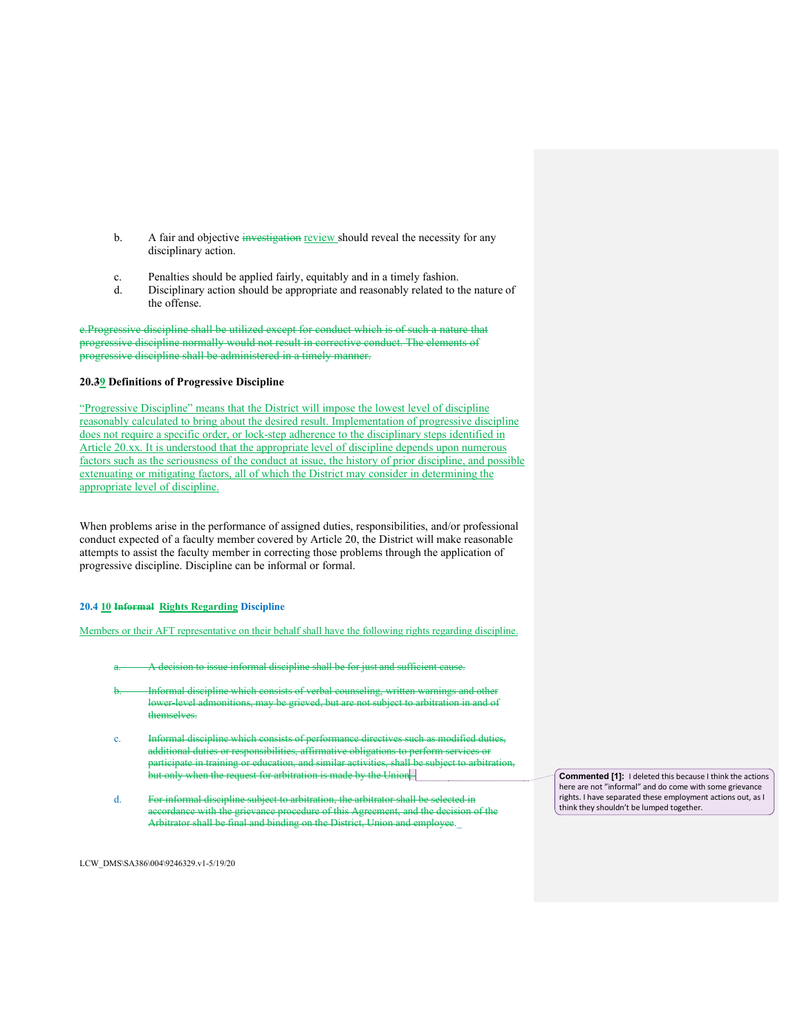- b. A fair and objective investigation review should reveal the necessity for any disciplinary action.
- c. Penalties should be applied fairly, equitably and in a timely fashion.
- d. Disciplinary action should be appropriate and reasonably related to the nature of the offense.

e.Progressive discipline shall be utilized except for conduct which is of such a nature that progressive discipline normally would not result in corrective conduct. The elements of progressive discipline shall be administered in a timely manner.

### **20.39 Definitions of Progressive Discipline**

"Progressive Discipline" means that the District will impose the lowest level of discipline reasonably calculated to bring about the desired result. Implementation of progressive discipline does not require a specific order, or lock-step adherence to the disciplinary steps identified in Article 20.xx. It is understood that the appropriate level of discipline depends upon numerous factors such as the seriousness of the conduct at issue, the history of prior discipline, and possible extenuating or mitigating factors, all of which the District may consider in determining the appropriate level of discipline.

When problems arise in the performance of assigned duties, responsibilities, and/or professional conduct expected of a faculty member covered by Article 20, the District will make reasonable attempts to assist the faculty member in correcting those problems through the application of progressive discipline. Discipline can be informal or formal.

#### **20.4 10 Informal Rights Regarding Discipline**

Members or their AFT representative on their behalf shall have the following rights regarding discipline.

- A decision to issue informal discipline shall be for just and sufficient cause.
- Informal discipline which consists of verbal counseling, written warnings and other lower-level admonitions, may be grieved, but are not subject to arbitration in and of themselves.
- c. Informal discipline which consists of performance directives such as modified duties, additional duties or responsibilities, affirmative obligations to perform services or participate in training or education, and similar activities, shall be subject to arbitration, but only when the request for arbitration is made by the Union.
- d. For informal discipline subject to arbitration, the arbitrator shall be selected in accordance with the grievance procedure of this Agreement, and the decision of the Arbitrator shall be final and binding on the District, Union and employee.

**Commented [1]:** I deleted this because I think the actions here are not "informal" and do come with some grievance rights. I have separated these employment actions out, as I think they shouldn't be lumped together.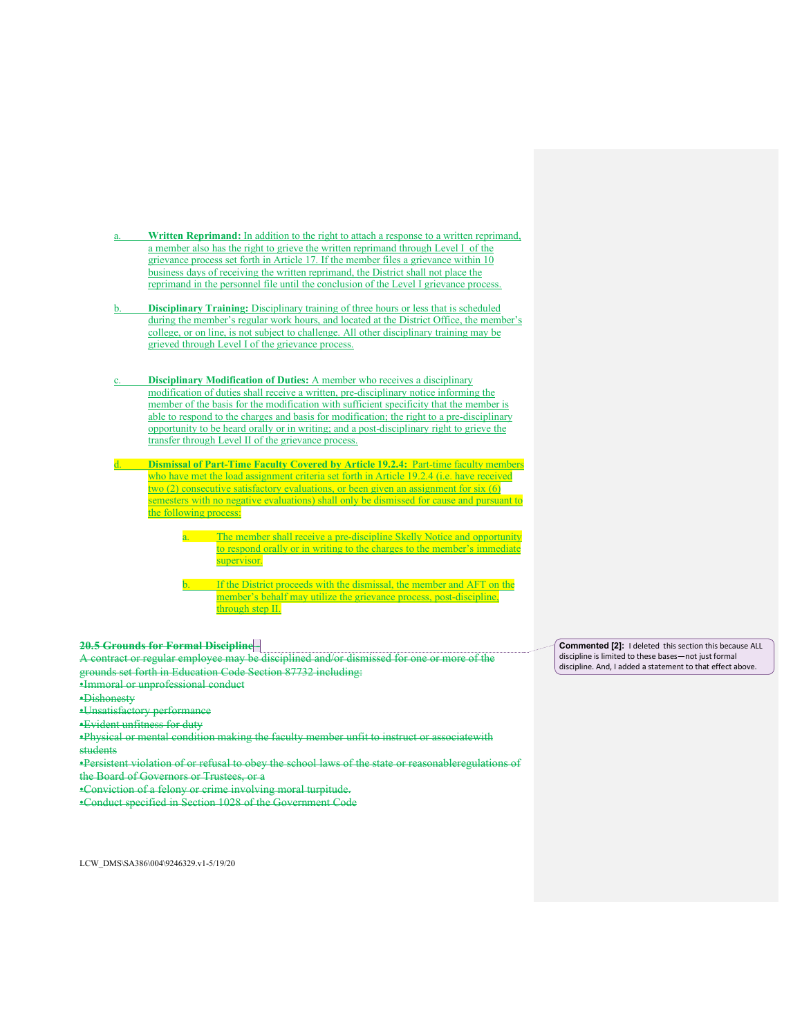- Written Reprimand: In addition to the right to attach a response to a written reprimand, a member also has the right to grieve the written reprimand through Level I of the grievance process set forth in Article 17. If the member files a grievance within 10 business days of receiving the written reprimand, the District shall not place the reprimand in the personnel file until the conclusion of the Level I grievance process.
- **Disciplinary Training:** Disciplinary training of three hours or less that is scheduled during the member's regular work hours, and located at the District Office, the member's college, or on line, is not subject to challenge. All other disciplinary training may be grieved through Level I of the grievance process.
- **Disciplinary Modification of Duties:** A member who receives a disciplinary modification of duties shall receive a written, pre-disciplinary notice informing the member of the basis for the modification with sufficient specificity that the member is able to respond to the charges and basis for modification; the right to a pre-disciplinary opportunity to be heard orally or in writing; and a post-disciplinary right to grieve the transfer through Level II of the grievance process.
- **Dismissal of Part-Time Faculty Covered by Article 19.2.4:** Part-time faculty members who have met the load assignment criteria set forth in Article 19.2.4 (i.e. have received two (2) consecutive satisfactory evaluations, or been given an assignment for six (6) semesters with no negative evaluations) shall only be dismissed for cause and pursuant to the following process:
	- The member shall receive a pre-discipline Skelly Notice and opportunity to respond orally or in writing to the charges to the member's immediate supervisor.
	- If the District proceeds with the dismissal, the member and AFT on the member's behalf may utilize the grievance process, post-discipline, through step II.

# **20.5 Grounds for Formal Discipline -**

A contract or regular employee may be disciplined and/or dismissed for one or more of the grounds set forth in Education Code Section 87732 including:

- •Immoral or unprofessional conduct
- •Dishonesty
- •Unsatisfactory performance
- •Evident unfitness for duty

•Physical or mental condition making the faculty member unfit to instruct or associatewith students

- •Persistent violation of or refusal to obey the school laws of the state or reasonableregulations of
- the Board of Governors or Trustees, or a
- •Conviction of a felony or crime involving moral turpitude.
- •Conduct specified in Section 1028 of the Government Code

LCW\_DMS\SA386\004\9246329.v1-5/19/20

**Commented [2]:** I deleted this section this because ALL discipline is limited to these bases—not just formal discipline. And, I added a statement to that effect above.